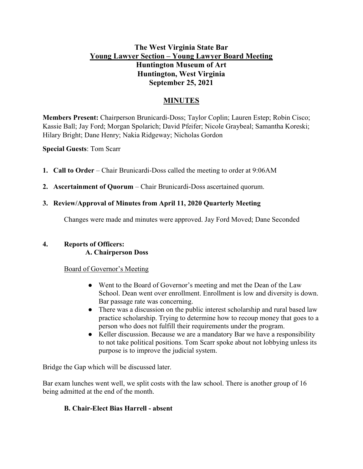# The West Virginia State Bar Young Lawyer Section – Young Lawyer Board Meeting Huntington Museum of Art Huntington, West Virginia September 25, 2021

# MINUTES

Members Present: Chairperson Brunicardi-Doss; Taylor Coplin; Lauren Estep; Robin Cisco; Kassie Ball; Jay Ford; Morgan Spolarich; David Pfeifer; Nicole Graybeal; Samantha Koreski; Hilary Bright; Dane Henry; Nakia Ridgeway; Nicholas Gordon

Special Guests: Tom Scarr

- 1. Call to Order Chair Brunicardi-Doss called the meeting to order at 9:06AM
- 2. Ascertainment of Quorum Chair Brunicardi-Doss ascertained quorum.

## 3. Review/Approval of Minutes from April 11, 2020 Quarterly Meeting

Changes were made and minutes were approved. Jay Ford Moved; Dane Seconded

## 4. Reports of Officers:

A. Chairperson Doss

## Board of Governor's Meeting

- Went to the Board of Governor's meeting and met the Dean of the Law School. Dean went over enrollment. Enrollment is low and diversity is down. Bar passage rate was concerning.
- There was a discussion on the public interest scholarship and rural based law practice scholarship. Trying to determine how to recoup money that goes to a person who does not fulfill their requirements under the program.
- Keller discussion. Because we are a mandatory Bar we have a responsibility to not take political positions. Tom Scarr spoke about not lobbying unless its purpose is to improve the judicial system.

Bridge the Gap which will be discussed later.

Bar exam lunches went well, we split costs with the law school. There is another group of 16 being admitted at the end of the month.

## B. Chair-Elect Bias Harrell - absent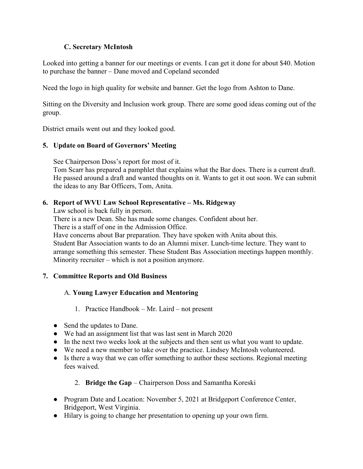## C. Secretary McIntosh

Looked into getting a banner for our meetings or events. I can get it done for about \$40. Motion to purchase the banner – Dane moved and Copeland seconded

Need the logo in high quality for website and banner. Get the logo from Ashton to Dane.

Sitting on the Diversity and Inclusion work group. There are some good ideas coming out of the group.

District emails went out and they looked good.

## 5. Update on Board of Governors' Meeting

See Chairperson Doss's report for most of it. Tom Scarr has prepared a pamphlet that explains what the Bar does. There is a current draft. He passed around a draft and wanted thoughts on it. Wants to get it out soon. We can submit the ideas to any Bar Officers, Tom, Anita.

## 6. Report of WVU Law School Representative – Ms. Ridgeway

Law school is back fully in person.

There is a new Dean. She has made some changes. Confident about her.

There is a staff of one in the Admission Office.

Have concerns about Bar preparation. They have spoken with Anita about this. Student Bar Association wants to do an Alumni mixer. Lunch-time lecture. They want to arrange something this semester. These Student Bas Association meetings happen monthly. Minority recruiter – which is not a position anymore.

## 7. Committee Reports and Old Business

## A. Young Lawyer Education and Mentoring

- 1. Practice Handbook Mr. Laird not present
- Send the updates to Dane.
- We had an assignment list that was last sent in March 2020
- In the next two weeks look at the subjects and then sent us what you want to update.
- We need a new member to take over the practice. Lindsey McIntosh volunteered.
- Is there a way that we can offer something to author these sections. Regional meeting fees waived.

## 2. Bridge the Gap – Chairperson Doss and Samantha Koreski

- Program Date and Location: November 5, 2021 at Bridgeport Conference Center, Bridgeport, West Virginia.
- Hilary is going to change her presentation to opening up your own firm.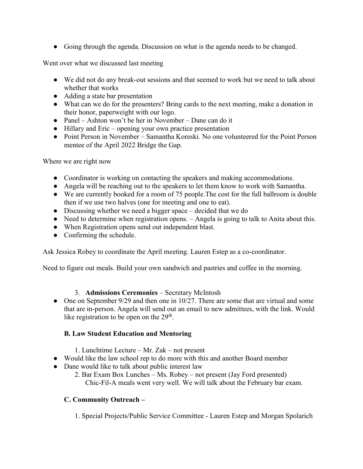● Going through the agenda. Discussion on what is the agenda needs to be changed.

Went over what we discussed last meeting

- We did not do any break-out sessions and that seemed to work but we need to talk about whether that works
- Adding a state bar presentation
- What can we do for the presenters? Bring cards to the next meeting, make a donation in their honor, paperweight with our logo.
- Panel Ashton won't be her in November Dane can do it
- Hillary and Eric opening your own practice presentation
- Point Person in November Samantha Koreski. No one volunteered for the Point Person mentee of the April 2022 Bridge the Gap.

Where we are right now

- Coordinator is working on contacting the speakers and making accommodations.
- Angela will be reaching out to the speakers to let them know to work with Samantha.
- We are currently booked for a room of 75 people.The cost for the full ballroom is double then if we use two halves (one for meeting and one to eat).
- Discussing whether we need a bigger space decided that we do
- Need to determine when registration opens. Angela is going to talk to Anita about this.
- When Registration opens send out independent blast.
- Confirming the schedule.

Ask Jessica Robey to coordinate the April meeting. Lauren Estep as a co-coordinator.

Need to figure out meals. Build your own sandwich and pastries and coffee in the morning.

#### 3. Admissions Ceremonies – Secretary McIntosh

• One on September 9/29 and then one in  $10/27$ . There are some that are virtual and some that are in-person. Angela will send out an email to new admittees, with the link. Would like registration to be open on the  $29<sup>th</sup>$ .

## B. Law Student Education and Mentoring

- 1. Lunchtime Lecture Mr. Zak not present
- Would like the law school rep to do more with this and another Board member
- Dane would like to talk about public interest law
	- 2. Bar Exam Box Lunches Ms. Robey not present (Jay Ford presented) Chic-Fil-A meals went very well. We will talk about the February bar exam.

## C. Community Outreach –

1. Special Projects/Public Service Committee - Lauren Estep and Morgan Spolarich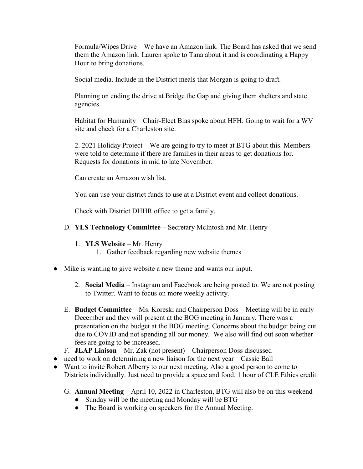Formula/Wipes Drive – We have an Amazon link. The Board has asked that we send them the Amazon link. Lauren spoke to Tana about it and is coordinating a Happy Hour to bring donations.

Social media. Include in the District meals that Morgan is going to draft.

Planning on ending the drive at Bridge the Gap and giving them shelters and state agencies.

Habitat for Humanity – Chair-Elect Bias spoke about HFH. Going to wait for a WV site and check for a Charleston site.

2. 2021 Holiday Project – We are going to try to meet at BTG about this. Members were told to determine if there are families in their areas to get donations for. Requests for donations in mid to late November.

Can create an Amazon wish list.

You can use your district funds to use at a District event and collect donations.

Check with District DHHR office to get a family.

## D. YLS Technology Committee – Secretary McIntosh and Mr. Henry

- 1. YLS Website Mr. Henry
	- 1. Gather feedback regarding new website themes
- Mike is wanting to give website a new theme and wants our input.
	- 2. Social Media Instagram and Facebook are being posted to. We are not posting to Twitter. Want to focus on more weekly activity.
	- E. Budget Committee Ms. Koreski and Chairperson Doss Meeting will be in early December and they will present at the BOG meeting in January. There was a presentation on the budget at the BOG meeting. Concerns about the budget being cut due to COVID and not spending all our money. We also will find out soon whether fees are going to be increased.
	- F. JLAP Liaison Mr. Zak (not present) Chairperson Doss discussed
- need to work on determining a new liaison for the next year Cassie Ball
- Want to invite Robert Alberry to our next meeting. Also a good person to come to Districts individually. Just need to provide a space and food. 1 hour of CLE Ethics credit.
	- G. Annual Meeting April 10, 2022 in Charleston, BTG will also be on this weekend
		- Sunday will be the meeting and Monday will be BTG
		- The Board is working on speakers for the Annual Meeting.